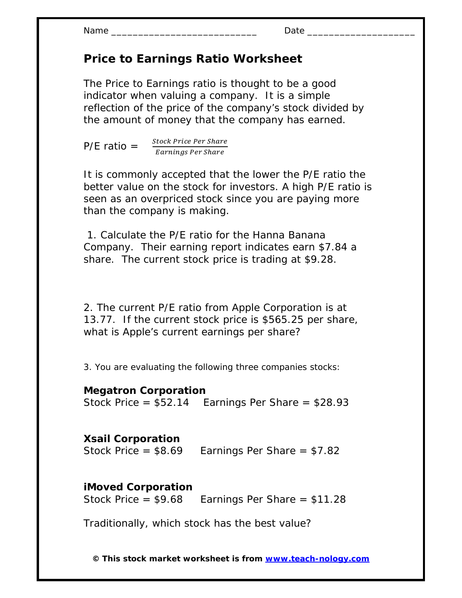Name \_\_\_\_\_\_\_\_\_\_\_\_\_\_\_\_\_\_\_\_\_\_\_\_\_\_\_ Date \_\_\_\_\_\_\_\_\_\_\_\_\_\_\_\_\_\_\_\_

## **Price to Earnings Ratio Worksheet**

The Price to Earnings ratio is thought to be a good indicator when valuing a company. It is a simple reflection of the price of the company's stock divided by the amount of money that the company has earned.

 $P/E$  ratio =  $\frac{Stock \, Price \, Per \,Share}{E}$ Earnings Per Share

It is commonly accepted that the lower the P/E ratio the better value on the stock for investors. A high P/E ratio is seen as an overpriced stock since you are paying more than the company is making.

 1. Calculate the P/E ratio for the Hanna Banana Company. Their earning report indicates earn \$7.84 a share. The current stock price is trading at \$9.28.

2. The current P/E ratio from Apple Corporation is at 13.77. If the current stock price is \$565.25 per share, what is Apple's current earnings per share?

3. You are evaluating the following three companies stocks:

## **Megatron Corporation**

Stock Price  $= $52.14$  Earnings Per Share  $= $28.93$ 

## **Xsail Corporation**

Stock Price =  $$8.69$  Earnings Per Share =  $$7.82$ 

## **iMoved Corporation**

Stock Price =  $$9.68$  Earnings Per Share =  $$11.28$ 

Traditionally, which stock has the best value?

**© This stock market worksheet is from www.teach-nology.com**